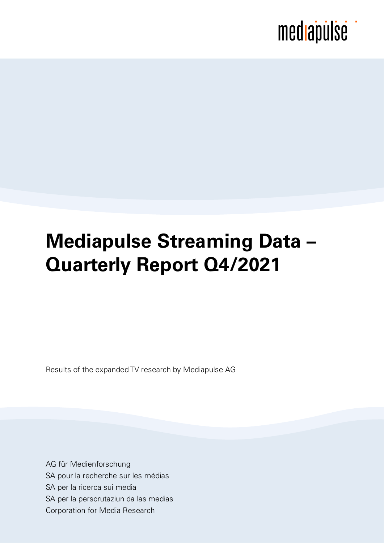## **Mediapulse Streaming Data – Quarterly Report Q4/2021**

Results of the expanded TV research by Mediapulse AG

AG für Medienforschung SA pour la recherche sur les médias SA per la ricerca sui media SA per la perscrutaziun da las medias Corporation for Media Research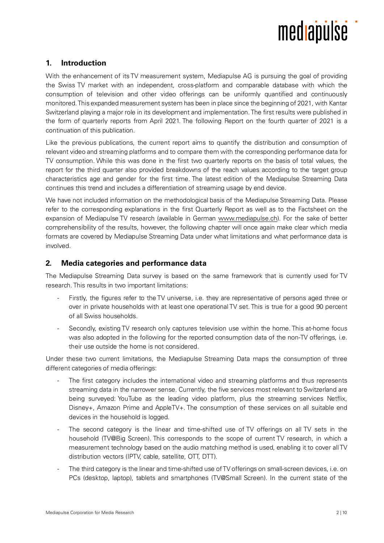

### **1. Introduction**

With the enhancement of its TV measurement system, Mediapulse AG is pursuing the goal of providing the Swiss TV market with an independent, cross-platform and comparable database with which the consumption of television and other video offerings can be uniformly quantified and continuously monitored. This expanded measurement system has been in place since the beginning of 2021, with Kantar Switzerland playing a major role in its development and implementation. The first results were published in the form of quarterly reports from April 2021. The following Report on the fourth quarter of 2021 is a continuation of this publication.

Like the previous publications, the current report aims to quantify the distribution and consumption of relevant video and streaming platforms and to compare them with the corresponding performance data for TV consumption. While this was done in the first two quarterly reports on the basis of total values, the report for the third quarter also provided breakdowns of the reach values according to the target group characteristics age and gender for the first time. The latest edition of the Mediapulse Streaming Data continues this trend and includes a differentiation of streaming usage by end device.

We have not included information on the methodological basis of the Mediapulse Streaming Data. Please refer to the corresponding explanations in the first [Quarterly Report](https://www.mediapulse.ch/weiterentwicklung/news-mediapulse-streaming-data/) as well as to the [Factsheet](https://www.mediapulse.ch/wp-content/uploads/2021/05/210518_01_Steckbrief_OTV_SD.pdf) on the expansion of Mediapulse TV research (available in German [www.mediapulse.ch\)](https://www.mediapulse.ch/wp-content/uploads/2021/05/210518_01_Steckbrief_OTV_SD.pdf). For the sake of better comprehensibility of the results, however, the following chapter will once again make clear which media formats are covered by Mediapulse Streaming Data under what limitations and what performance data is involved.

### **2. Media categories and performance data**

The Mediapulse Streaming Data survey is based on the same framework that is currently used for TV research. This results in two important limitations:

- Firstly, the figures refer to the TV universe, i.e. they are representative of persons aged three or over in private households with at least one operational TV set. This is true for a good 90 percent of all Swiss households.
- Secondly, existing TV research only captures television use within the home. This at-home focus was also adopted in the following for the reported consumption data of the non-TV offerings, i.e. their use outside the home is not considered.

Under these two current limitations, the Mediapulse Streaming Data maps the consumption of three different categories of media offerings:

- The first category includes the international video and streaming platforms and thus represents streaming data in the narrower sense. Currently, the five services most relevant to Switzerland are being surveyed: YouTube as the leading video platform, plus the streaming services Netflix, Disney+, Amazon Prime and AppleTV+. The consumption of these services on all suitable end devices in the household is logged.
- The second category is the linear and time-shifted use of TV offerings on all TV sets in the household (TV@Big Screen). This corresponds to the scope of current TV research, in which a measurement technology based on the audio matching method is used, enabling it to cover all TV distribution vectors (IPTV, cable, satellite, OTT, DTT).
- The third category is the linear and time-shifted use of TV offerings on small-screen devices, i.e. on PCs (desktop, laptop), tablets and smartphones (TV@Small Screen). In the current state of the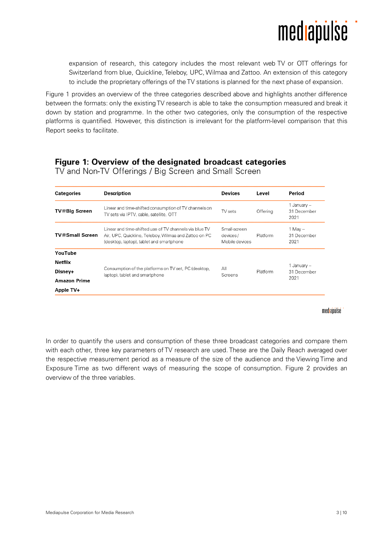

expansion of research, this category includes the most relevant web TV or OTT offerings for Switzerland from blue, Quickline, Teleboy, UPC, Wilmaa and Zattoo. An extension of this category to include the proprietary offerings of the TV stations is planned for the next phase of expansion.

Figure 1 provides an overview of the three categories described above and highlights another difference between the formats: only the existing TV research is able to take the consumption measured and break it down by station and programme. In the other two categories, only the consumption of the respective platforms is quantified. However, this distinction is irrelevant for the platform-level comparison that this Report seeks to facilitate.

### Figure 1: Overview of the designated broadcast categories

| <b>Categories</b>      | <b>Description</b>                                                                                                                                          | <b>Devices</b> | Level                                                  | Period                             |
|------------------------|-------------------------------------------------------------------------------------------------------------------------------------------------------------|----------------|--------------------------------------------------------|------------------------------------|
| TV@Big Screen          | Linear and time-shifted consumption of TV channels on<br>TV sets via IPTV, cable, satellite, OTT                                                            | TV sets        | Offering                                               | 1 January –<br>31 December<br>2021 |
| <b>TV@Small Screen</b> | Linear and time-shifted use of TV channels via blue TV<br>Air, UPC, Quickline, Teleboy, Wilmaa and Zattoo on PC<br>(desktop, laptop), tablet and smartphone |                | Small-screen<br>Platform<br>devices/<br>Mobile devices |                                    |
| YouTube                |                                                                                                                                                             |                |                                                        |                                    |
| <b>Netflix</b>         |                                                                                                                                                             |                |                                                        | 1 Januarv –                        |
| Disney+                | Consumption of the platforms on TV set, PC (desktop,<br>laptop), tablet and smartphone                                                                      | All<br>Screens | Platform                                               | 31 December                        |
| <b>Amazon Prime</b>    |                                                                                                                                                             |                |                                                        | 2021                               |
| Apple TV+              |                                                                                                                                                             |                |                                                        |                                    |

TV and Non-TV Offerings / Big Screen and Small Screen

#### mediabülse

In order to quantify the users and consumption of these three broadcast categories and compare them with each other, three key parameters of TV research are used. These are the Daily Reach averaged over the respective measurement period as a measure of the size of the audience and the Viewing Time and Exposure Time as two different ways of measuring the scope of consumption. Figure 2 provides an overview of the three variables.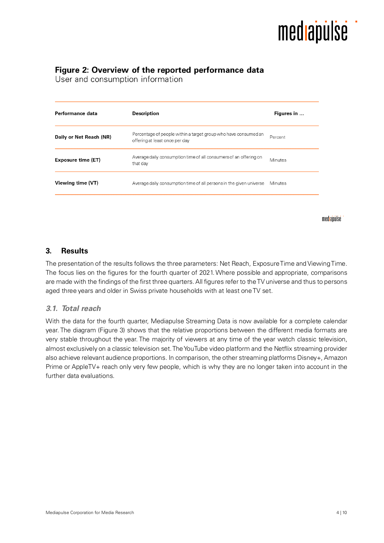

### Figure 2: Overview of the reported performance data

User and consumption information

| Performance data        | Description                                                                                       | Figures in |
|-------------------------|---------------------------------------------------------------------------------------------------|------------|
| Daily or Net Reach (NR) | Percentage of people within a target group who have consumed an<br>offering at least once per day | Percent    |
| Exposure time (ET)      | Average daily consumption time of all consumers of an offering on<br>that day                     | Minutes    |
| Viewing time (VT)       | Average daily consumption time of all persons in the given universe                               | Minutes    |
|                         |                                                                                                   |            |

mediapulse

### **3. Results**

The presentation of the results follows the three parameters: Net Reach, Exposure Time and Viewing Time. The focus lies on the figures for the fourth quarter of 2021. Where possible and appropriate, comparisons are made with the findings of the first three quarters. All figures refer to the TV universe and thus to persons aged three years and older in Swiss private households with at least one TV set.

### *3.1. Total reach*

With the data for the fourth quarter, Mediapulse Streaming Data is now available for a complete calendar year. The diagram (Figure 3) shows that the relative proportions between the different media formats are very stable throughout the year. The majority of viewers at any time of the year watch classic television, almost exclusively on a classic television set. The YouTube video platform and the Netflix streaming provider also achieve relevant audience proportions. In comparison, the other streaming platforms Disney+, Amazon Prime or AppleTV+ reach only very few people, which is why they are no longer taken into account in the further data evaluations.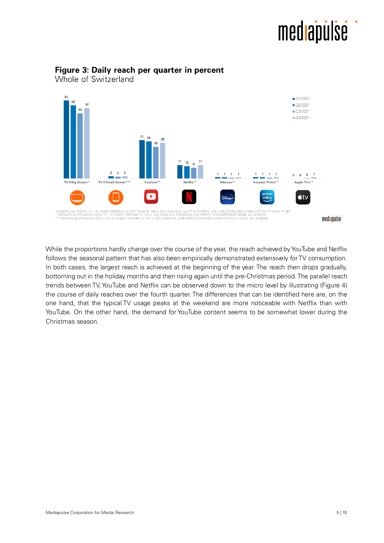

### Figure 3: Daily reach per quarter in percent

Whole of Switzerland

While the proportions hardly change over the course of the year, the reach achieved by YouTube and Netflix follows the seasonal pattern that has also been empirically demonstrated extensively for TV consumption. In both cases, the largest reach is achieved at the beginning of the year. The reach then drops gradually, bottoming out in the holiday months and then rising again until the pre-Christmas period. The parallel reach trends between TV, YouTube and Netflix can be observed down to the micro level by illustrating (Figure 4) the course of daily reaches over the fourth quarter. The differences that can be identified here are, on the one hand, that the typical TV usage peaks at the weekend are more noticeable with Netflix than with YouTube. On the other hand, the demand for YouTube content seems to be somewhat lower during the Christmas season.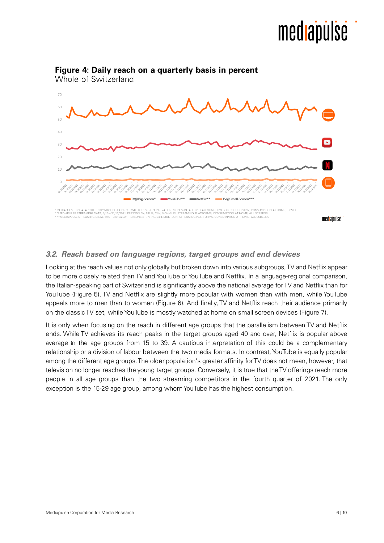

### Figure 4: Daily reach on a quarterly basis in percent

### *3.2. Reach based on language regions, target groups and end devices*

Looking at the reach values not only globally but broken down into various subgroups, TV and Netflix appear to be more closely related than TV and YouTube or YouTube and Netflix. In a language-regional comparison, the Italian-speaking part of Switzerland is significantly above the national average for TV and Netflix than for YouTube (Figure 5). TV and Netflix are slightly more popular with women than with men, while YouTube appeals more to men than to women (Figure 6). And finally, TV and Netflix reach their audience primarily on the classic TV set, while YouTube is mostly watched at home on small screen devices (Figure 7).

It is only when focusing on the reach in different age groups that the parallelism between TV and Netflix ends. While TV achieves its reach peaks in the target groups aged 40 and over, Netflix is popular above average in the age groups from 15 to 39. A cautious interpretation of this could be a complementary relationship or a division of labour between the two media formats. In contrast, YouTube is equally popular among the different age groups. The older population's greater affinity for TV does not mean, however, that television no longer reaches the young target groups. Conversely, it is true that the TV offerings reach more people in all age groups than the two streaming competitors in the fourth quarter of 2021. The only exception is the 15-29 age group, among whom YouTube has the highest consumption.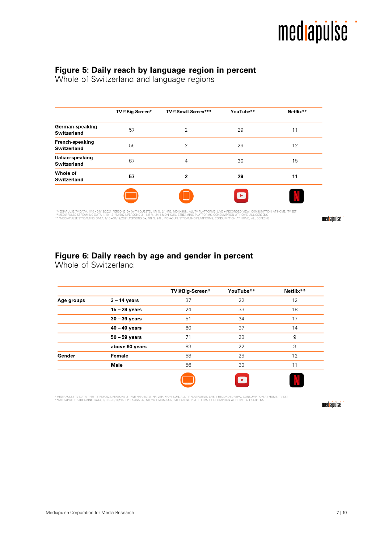

### Figure 5: Daily reach by language region in percent Whole of Switzerland and language regions

|                                        | TV@Big-Screen* | TV@Small-Screen***       | YouTube** | Netflix** |
|----------------------------------------|----------------|--------------------------|-----------|-----------|
| German-speaking<br><b>Switzerland</b>  | 57             | 2                        | 29        | 11        |
| <b>French-speaking</b><br>Switzerland  | 56             | $\overline{2}$           | 29        | 12        |
| Italian-speaking<br><b>Switzerland</b> | 67             | $\overline{4}$           | 30        | 15        |
| Whole of<br>Switzerland                | 57             | $\overline{2}$           | 29        | 11        |
|                                        |                | $\overline{\phantom{a}}$ | $\bullet$ |           |

\*MEDIAPULSE TVDATA, 1/10–31/12/2021, PERSONS 3+ (WITH GUESTS), NR %, 24 HRS, MON-SUN, ALL TV PLATFORMS, LIVE + RECORDED VIEW, CONSUMPTION AT HOME, TV SET<br>\*\*MEDIAPULSE STREAMING DATA, 1/10–31/12/2021, PERSONS 3+, NR %, 24H,

mediapülse

### Figure 6: Daily reach by age and gender in percent<br>Whole of Switzerland

|                 | TV@Big-Screen* | YouTube**             | Netflix** |
|-----------------|----------------|-----------------------|-----------|
| $3 - 14$ years  | 37             | 22                    | 12        |
| $15 - 29$ years | 24             | 33                    | 18        |
| $30 - 39$ years | 51             | 34                    | 17        |
| $40 - 49$ years | 60             | 37                    | 14        |
| $50 - 59$ years | 71             | 28                    | 9         |
| above 60 years  | 83             | 22                    | 3         |
| Female          | 58             | 28                    | 12        |
| Male            | 56             | 30                    | 11        |
|                 |                | $\blacktriangleright$ |           |
|                 |                |                       |           |

\*MEDIAPULSE TV DATA, 1/10 – 31/12/2021, PERSONS 3+ (WITH GUESTS), NR, 24H, MON-SUN, ALL TV PLATFORMS, LIVE + RECORDED VIEW, CONSUMPTION AT HOME, TV SET<br>\*\*MEDIAPULSE STREAMING DATA, 1/10 – 31/12/2021, PERSONS 3+, NR, 24H, M

mediapulse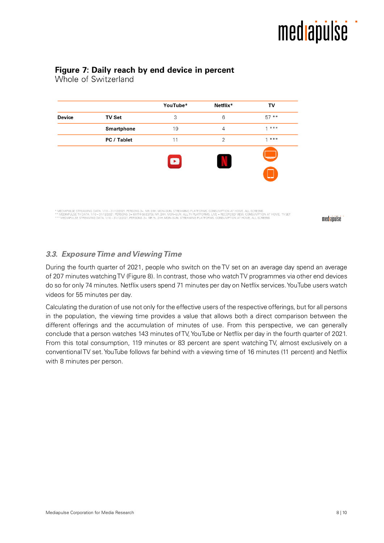### Figure 7: Daily reach by end device in percent

Whole of Switzerland

|               |               | YouTube*  | Netflix*       | TV          |
|---------------|---------------|-----------|----------------|-------------|
| <b>Device</b> | <b>TV Set</b> | 3         | 6              | $57**$      |
|               | Smartphone    | 19        | $\overline{4}$ | $1 * * * *$ |
|               | PC / Tablet   | 11        | $\overline{2}$ | $1 * * * *$ |
|               |               | $\bullet$ | W              | ╼           |

\* MEDIAPULSE STREAMING DATA, 1/10–31/12/2021.PERSONS 3+, NR, 24H, MON–SUN, STREAMING PLATFORMS, CONSUMPTION AT HOME, ALL SCREENS<br>\*\* MEDIAPULSE TV DATA, 1/10–31/12/2021.PERSONS 3+, WITH GUESTS), NR, 24H, MON–SUN, ALLTV PLAT

mediapulse

### *3.3. Exposure Time and Viewing Time*

During the fourth quarter of 2021, people who switch on the TV set on an average day spend an average of 207 minutes watching TV (Figure 8). In contrast, those who watch TV programmes via other end devices do so for only 74 minutes. Netflix users spend 71 minutes per day on Netflix services. YouTube users watch videos for 55 minutes per day.

Calculating the duration of use not only for the effective users of the respective offerings, but for all persons in the population, the viewing time provides a value that allows both a direct comparison between the different offerings and the accumulation of minutes of use. From this perspective, we can generally conclude that a person watches 143 minutes of TV, YouTube or Netflix per day in the fourth quarter of 2021. From this total consumption, 119 minutes or 83 percent are spent watching TV, almost exclusively on a conventional TV set. YouTube follows far behind with a viewing time of 16 minutes (11 percent) and Netflix with 8 minutes per person.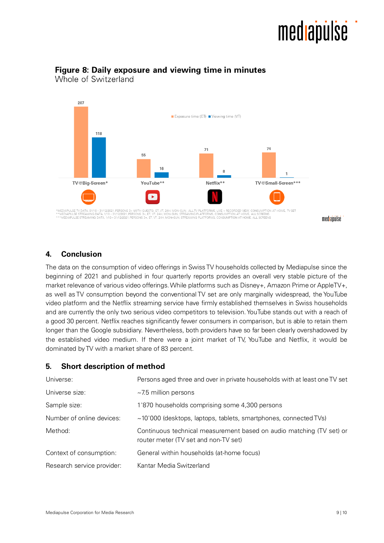## medlapulse



### Figure 8: Daily exposure and viewing time in minutes

Whole of Switzerland

### **4. Conclusion**

The data on the consumption of video offerings in Swiss TV households collected by Mediapulse since the beginning of 2021 and published in four quarterly reports provides an overall very stable picture of the market relevance of various video offerings. While platforms such as Disney+, Amazon Prime or AppleTV+, as well as TV consumption beyond the conventional TV set are only marginally widespread, the YouTube video platform and the Netflix streaming service have firmly established themselves in Swiss households and are currently the only two serious video competitors to television. YouTube stands out with a reach of a good 30 percent. Netflix reaches significantly fewer consumers in comparison, but is able to retain them longer than the Google subsidiary. Nevertheless, both providers have so far been clearly overshadowed by the established video medium. If there were a joint market of TV, YouTube and Netflix, it would be dominated by TV with a market share of 83 percent.

### **5. Short description of method**

| Universe:                  | Persons aged three and over in private households with at least one TV set                                   |
|----------------------------|--------------------------------------------------------------------------------------------------------------|
| Universe size:             | $~1$ 7.5 million persons                                                                                     |
| Sample size:               | 1'870 households comprising some 4,300 persons                                                               |
| Number of online devices:  | $\sim$ 10'000 (desktops, laptops, tablets, smartphones, connected TVs)                                       |
| Method:                    | Continuous technical measurement based on audio matching (TV set) or<br>router meter (TV set and non-TV set) |
| Context of consumption:    | General within households (at-home focus)                                                                    |
| Research service provider: | Kantar Media Switzerland                                                                                     |